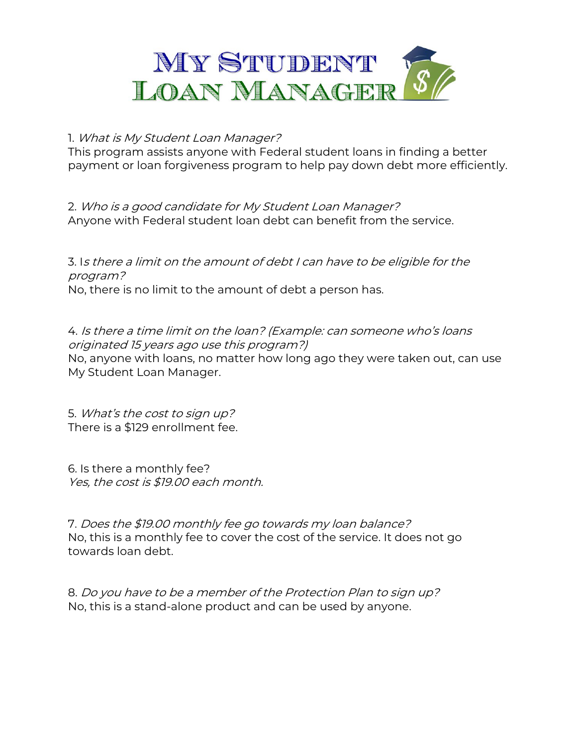

## 1. What is My Student Loan Manager?

This program assists anyone with Federal student loans in finding a better payment or loan forgiveness program to help pay down debt more efficiently.

2. Who is a good candidate for My Student Loan Manager? Anyone with Federal student loan debt can benefit from the service.

3. Is there a limit on the amount of debt I can have to be eligible for the program? No, there is no limit to the amount of debt a person has.

4. Is there a time limit on the loan? (Example: can someone who's loans originated 15 years ago use this program?) No, anyone with loans, no matter how long ago they were taken out, can use My Student Loan Manager.

5. What's the cost to sign up? There is a \$129 enrollment fee.

6. Is there a monthly fee? Yes, the cost is \$19.00 each month.

7. Does the \$19.00 monthly fee go towards my loan balance? No, this is a monthly fee to cover the cost of the service. It does not go towards loan debt.

8. Do you have to be a member of the Protection Plan to sign up? No, this is a stand-alone product and can be used by anyone.